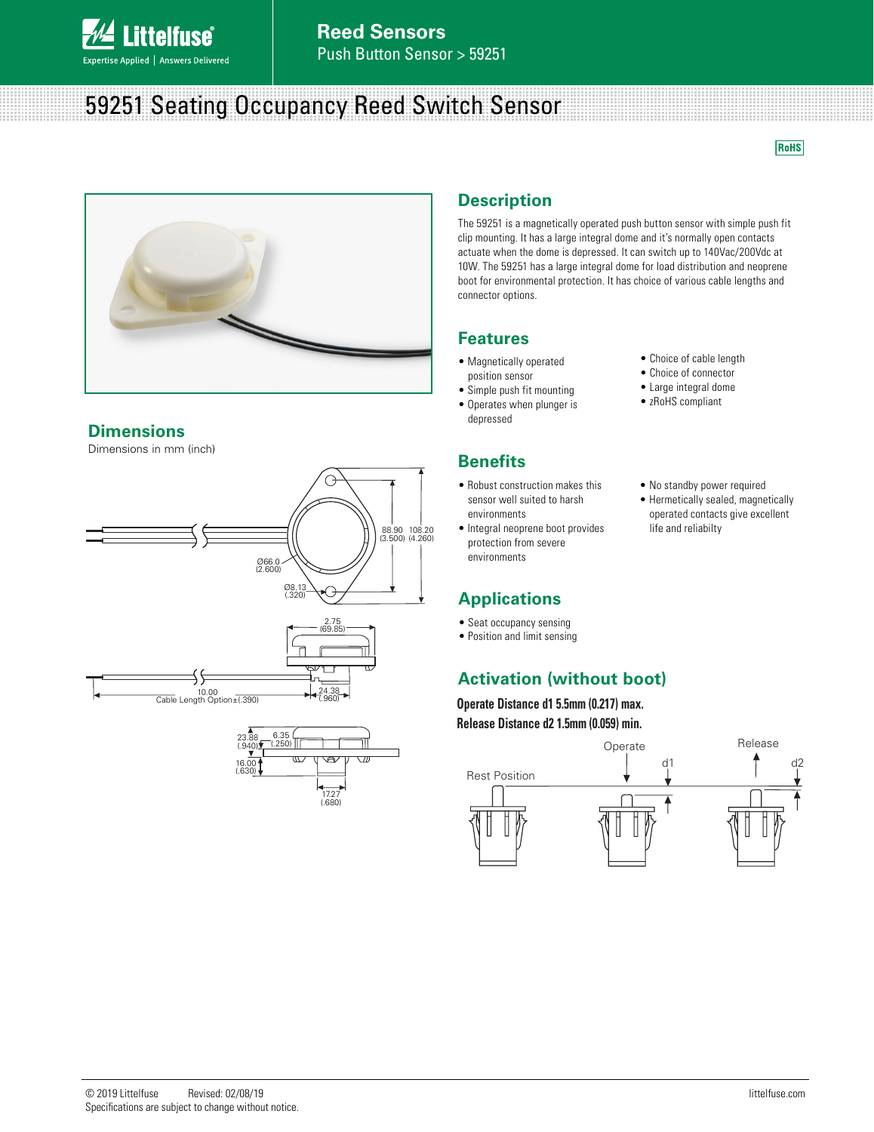

# 59251 Seating Occupancy Reed Switch Sensor

**RoHS** 



#### **Dimensions**

Dimensions in mm (inch)





### **Description**

The 59251 is a magnetically operated push button sensor with simple push fit clip mounting. It has a large integral dome and it's normally open contacts actuate when the dome is depressed. It can switch up to 140Vac/200Vdc at 10W. The 59251 has a large integral dome for load distribution and neoprene boot for environmental protection. It has choice of various cable lengths and connector options.

### **Features**

- Magnetically operated position sensor
- Simple push fit mounting
- Operates when plunger is depressed

### **Benefits**

- Robust construction makes this sensor well suited to harsh environments
- Integral neoprene boot provides protection from severe environments

## **Applications**

- Seat occupancy sensing
- Position and limit sensing

## **Activation (without boot)**

**Operate Distance d1 5.5mm (0.217) max. Release Distance d2 1.5mm (0.059) min.**



#### • Choice of cable length • Choice of connector

- Large integral dome
- zRoHS compliant
- No standby power required
- Hermetically sealed, magnetically operated contacts give excellent life and reliabilty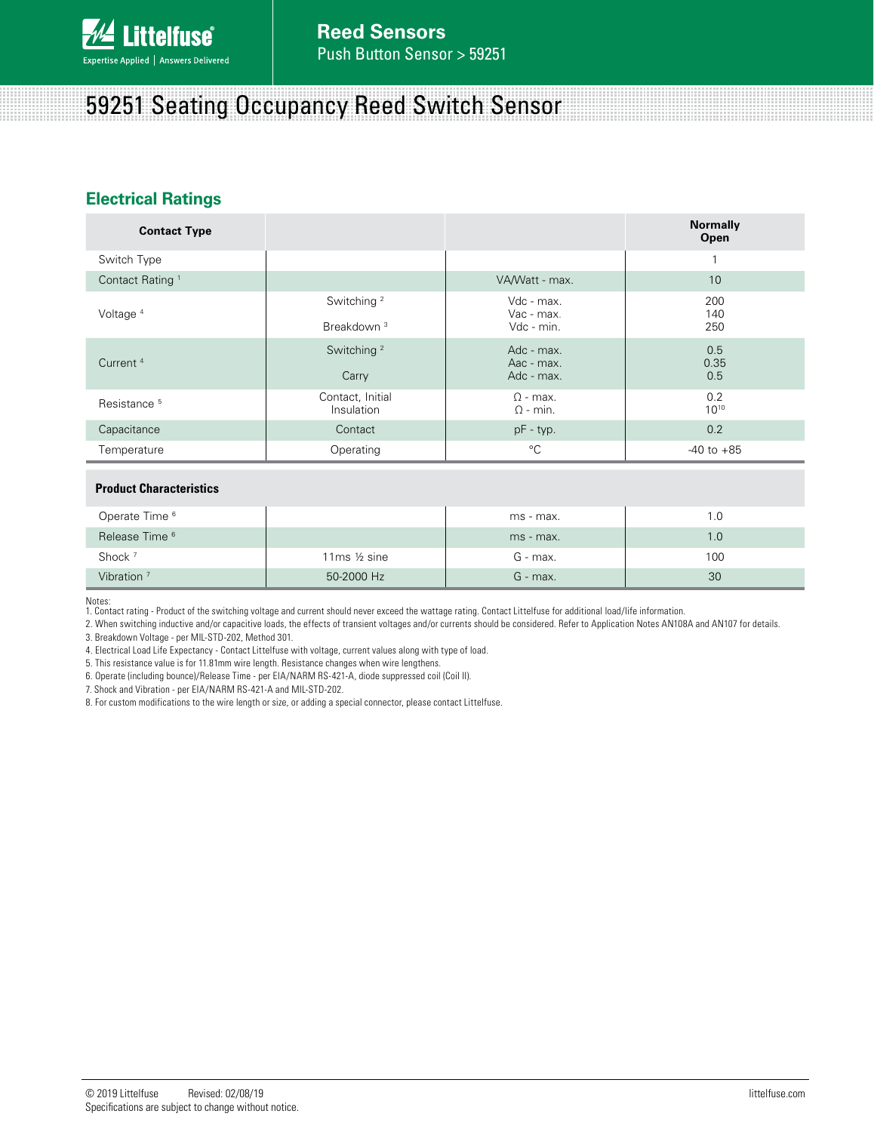

# 59251 Seating Occupancy Reed Switch Sensor

### **Electrical Ratings**

| <b>Contact Type</b>         |                                |                                    | <b>Normally</b><br>Open |
|-----------------------------|--------------------------------|------------------------------------|-------------------------|
| Switch Type                 |                                |                                    | $\overline{ }$          |
| Contact Rating <sup>1</sup> |                                | VA/Watt - max.                     | 10                      |
| Voltage <sup>4</sup>        | Switching <sup>2</sup>         | Vdc - max.<br>Vac - max.           | 200<br>140              |
|                             | Breakdown <sup>3</sup>         | Vdc - min.                         | 250                     |
| Current <sup>4</sup>        | Switching <sup>2</sup>         | Adc - max.<br>Aac - max.           | 0.5<br>0.35             |
|                             | Carry                          | Adc - max.                         | 0.5                     |
| Resistance <sup>5</sup>     | Contact, Initial<br>Insulation | $\Omega$ - max.<br>$\Omega$ - min. | 0.2<br>$10^{10}$        |
| Capacitance                 | Contact                        | $pF - typ.$                        | 0.2                     |
| Temperature                 | Operating                      | $^{\circ}$ C                       | $-40$ to $+85$          |
|                             |                                |                                    |                         |

#### **Product Characteristics**

| Operate Time <sup>6</sup> |                          | ms - max.  | .0  |
|---------------------------|--------------------------|------------|-----|
| Release Time <sup>6</sup> |                          | ms - max.  | 1.0 |
| Shock $7$                 | 11 $ms \frac{1}{2} sine$ | G - max.   | 100 |
| Vibration <sup>7</sup>    | 50-2000 Hz               | $G$ - max. | 30  |

Notes:

1. Contact rating - Product of the switching voltage and current should never exceed the wattage rating. Contact Littelfuse for additional load/life information.

2. When switching inductive and/or capacitive loads, the effects of transient voltages and/or currents should be considered. Refer to Application Notes AN108A and AN107 for details. 3. Breakdown Voltage - per MIL-STD-202, Method 301.

4. Electrical Load Life Expectancy - Contact Littelfuse with voltage, current values along with type of load.

5. This resistance value is for 11.81mm wire length. Resistance changes when wire lengthens.

6. Operate (including bounce)/Release Time - per EIA/NARM RS-421-A, diode suppressed coil (Coil II).

7. Shock and Vibration - per EIA/NARM RS-421-A and MIL-STD-202.

8. For custom modifications to the wire length or size, or adding a special connector, please contact Littelfuse.